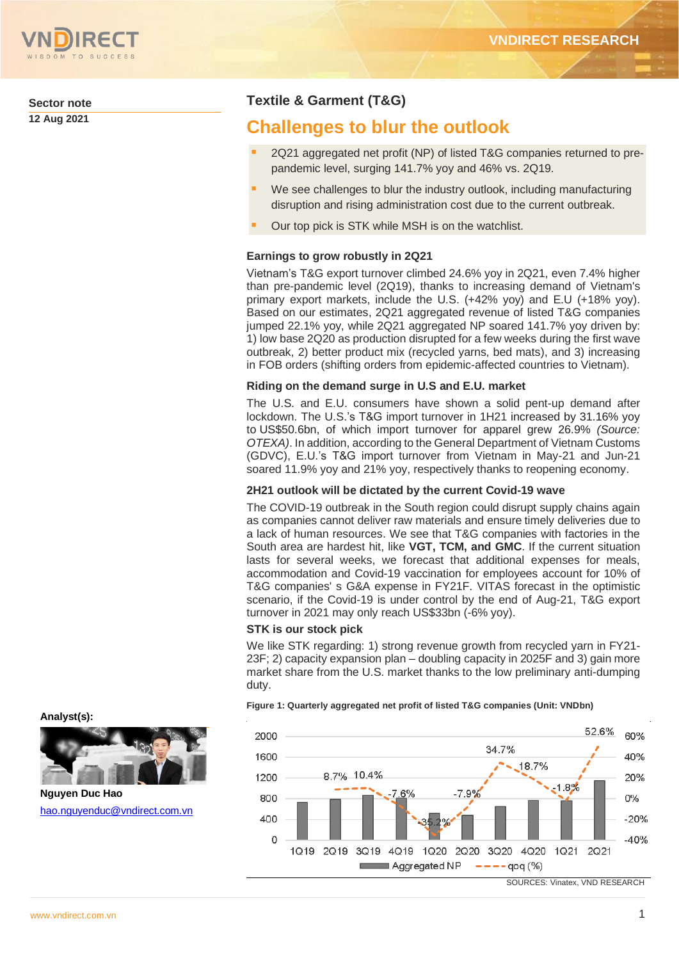

**Sector note 12 Aug 2021**

# **Textile & Garment (T&G)**

# **Challenges to blur the outlook**

- 2Q21 aggregated net profit (NP) of listed T&G companies returned to prepandemic level, surging 141.7% yoy and 46% vs. 2Q19.
- We see challenges to blur the industry outlook, including manufacturing disruption and rising administration cost due to the current outbreak.
- Our top pick is STK while MSH is on the watchlist.

# **Earnings to grow robustly in 2Q21**

Vietnam's T&G export turnover climbed 24.6% yoy in 2Q21, even 7.4% higher than pre-pandemic level (2Q19), thanks to increasing demand of Vietnam's primary export markets, include the U.S. (+42% yoy) and E.U (+18% yoy). Based on our estimates, 2Q21 aggregated revenue of listed T&G companies jumped 22.1% yoy, while 2Q21 aggregated NP soared 141.7% yoy driven by: 1) low base 2Q20 as production disrupted for a few weeks during the first wave outbreak, 2) better product mix (recycled yarns, bed mats), and 3) increasing in FOB orders (shifting orders from epidemic-affected countries to Vietnam).

# **Riding on the demand surge in U.S and E.U. market**

The U.S. and E.U. consumers have shown a solid pent-up demand after lockdown. The U.S.'s T&G import turnover in 1H21 increased by 31.16% yoy to US\$50.6bn, of which import turnover for apparel grew 26.9% *(Source: OTEXA)*. In addition, according to the General Department of Vietnam Customs (GDVC), E.U.'s T&G import turnover from Vietnam in May-21 and Jun-21 soared 11.9% yoy and 21% yoy, respectively thanks to reopening economy.

### **2H21 outlook will be dictated by the current Covid-19 wave**

The COVID-19 outbreak in the South region could disrupt supply chains again as companies cannot deliver raw materials and ensure timely deliveries due to a lack of human resources. We see that T&G companies with factories in the South area are hardest hit, like **VGT, TCM, and GMC**. If the current situation lasts for several weeks, we forecast that additional expenses for meals, accommodation and Covid-19 vaccination for employees account for 10% of T&G companies' s G&A expense in FY21F. VITAS forecast in the optimistic scenario, if the Covid-19 is under control by the end of Aug-21, T&G export turnover in 2021 may only reach US\$33bn (-6% yoy).

### **STK is our stock pick**

We like STK regarding: 1) strong revenue growth from recycled yarn in FY21- 23F; 2) capacity expansion plan – doubling capacity in 2025F and 3) gain more market share from the U.S. market thanks to the low preliminary anti-dumping duty.



**Figure 1: Quarterly aggregated net profit of listed T&G companies (Unit: VNDbn)**





**Nguyen Duc Hao** [hao.nguyenduc@vndirect.com.vn](mailto:hao.nguyenduc@vndirect.com.vn)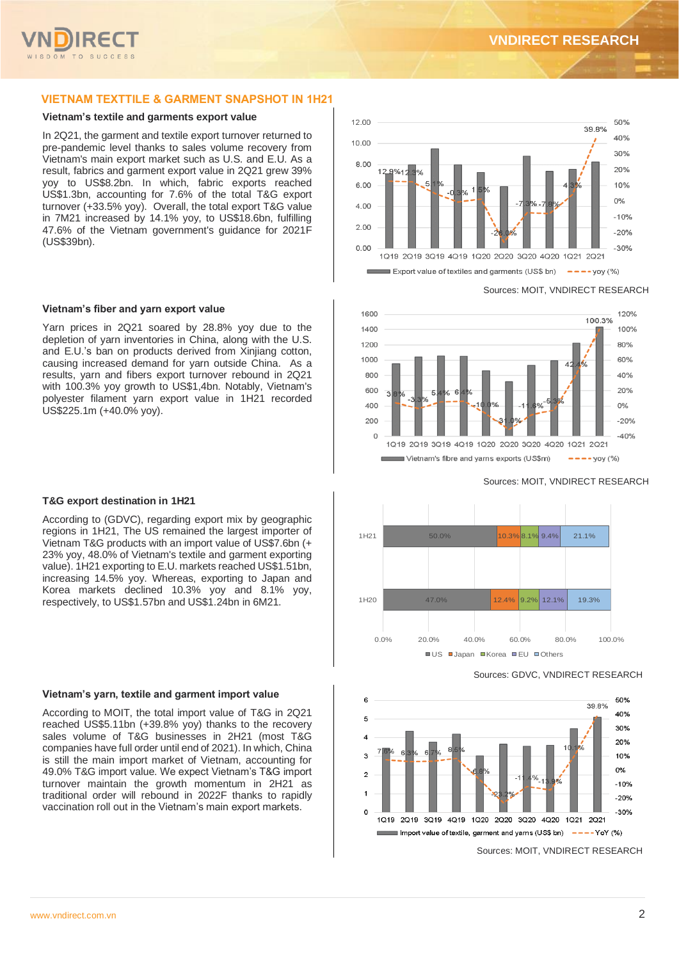

### **VIETNAM TEXTTILE & GARMENT SNAPSHOT IN 1H21**

### **Vietnam's textile and garments export value**

In 2Q21, the garment and textile export turnover returned to pre-pandemic level thanks to sales volume recovery from Vietnam's main export market such as U.S. and E.U. As a result, fabrics and garment export value in 2Q21 grew 39% yoy to US\$8.2bn. In which, fabric exports reached US\$1.3bn, accounting for 7.6% of the total T&G export turnover (+33.5% yoy). Overall, the total export T&G value in 7M21 increased by 14.1% yoy, to US\$18.6bn, fulfilling 47.6% of the Vietnam government's guidance for 2021F (US\$39bn).

### **Vietnam's fiber and yarn export value**

Yarn prices in 2Q21 soared by 28.8% yoy due to the depletion of yarn inventories in China, along with the U.S. and E.U.'s ban on products derived from Xinjiang cotton, causing increased demand for yarn outside China. As a results, yarn and fibers export turnover rebound in 2Q21 with 100.3% yoy growth to US\$1,4bn. Notably, Vietnam's polyester filament yarn export value in 1H21 recorded US\$225.1m (+40.0% yoy).

### **T&G export destination in 1H21**

According to (GDVC), regarding export mix by geographic regions in 1H21, The US remained the largest importer of Vietnam T&G products with an import value of US\$7.6bn (+ 23% yoy, 48.0% of Vietnam's textile and garment exporting value). 1H21 exporting to E.U. markets reached US\$1.51bn, increasing 14.5% yoy. Whereas, exporting to Japan and Korea markets declined 10.3% yoy and 8.1% yoy, respectively, to US\$1.57bn and US\$1.24bn in 6M21.

### **Vietnam's yarn, textile and garment import value**

According to MOIT, the total import value of T&G in 2Q21 reached US\$5.11bn (+39.8% yoy) thanks to the recovery sales volume of T&G businesses in 2H21 (most T&G companies have full order until end of 2021). In which, China is still the main import market of Vietnam, accounting for 49.0% T&G import value. We expect Vietnam's T&G import turnover maintain the growth momentum in 2H21 as traditional order will rebound in 2022F thanks to rapidly vaccination roll out in the Vietnam's main export markets.



### Sources: MOIT, VNDIRECT RESEARCH



Sources: MOIT, VNDIRECT RESEARCH



### Sources: GDVC, VNDIRECT RESEARCH



Sources: MOIT, VNDIRECT RESEARCH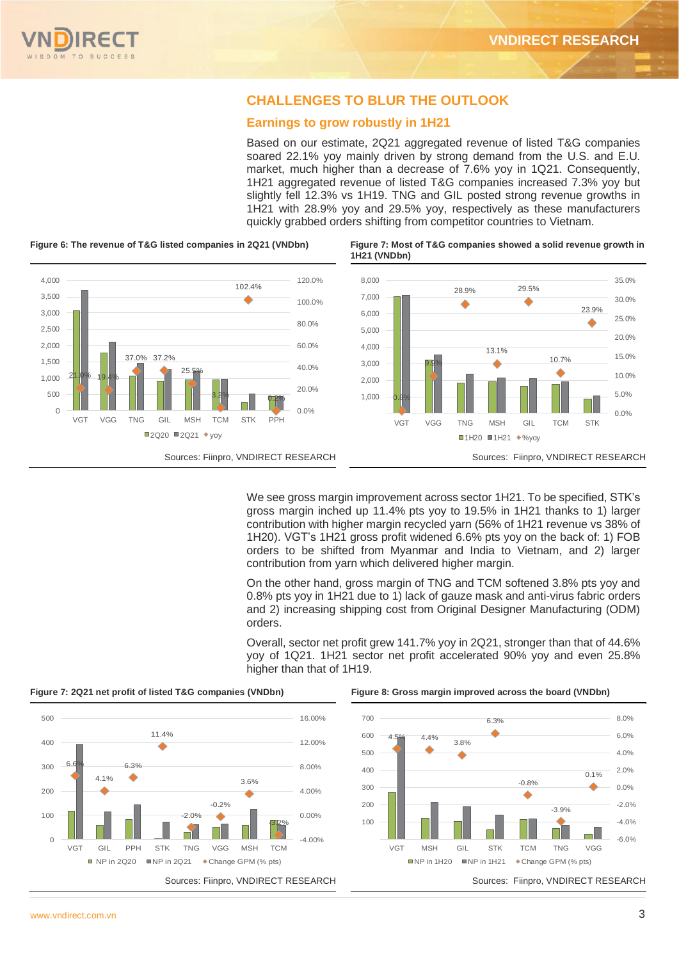# **CHALLENGES TO BLUR THE OUTLOOK**

## **Earnings to grow robustly in 1H21**

Based on our estimate, 2Q21 aggregated revenue of listed T&G companies soared 22.1% yoy mainly driven by strong demand from the U.S. and E.U. market, much higher than a decrease of 7.6% yoy in 1Q21. Consequently, 1H21 aggregated revenue of listed T&G companies increased 7.3% yoy but slightly fell 12.3% vs 1H19. TNG and GIL posted strong revenue growths in 1H21 with 28.9% yoy and 29.5% yoy, respectively as these manufacturers quickly grabbed orders shifting from competitor countries to Vietnam.



**Figure 6: The revenue of T&G listed companies in 2Q21 (VNDbn) Figure 7: Most of T&G companies showed a solid revenue growth in** 

We see gross margin improvement across sector 1H21. To be specified, STK's gross margin inched up 11.4% pts yoy to 19.5% in 1H21 thanks to 1) larger contribution with higher margin recycled yarn (56% of 1H21 revenue vs 38% of 1H20). VGT's 1H21 gross profit widened 6.6% pts yoy on the back of: 1) FOB orders to be shifted from Myanmar and India to Vietnam, and 2) larger contribution from yarn which delivered higher margin.

On the other hand, gross margin of TNG and TCM softened 3.8% pts yoy and 0.8% pts yoy in 1H21 due to 1) lack of gauze mask and anti-virus fabric orders and 2) increasing shipping cost from Original Designer Manufacturing (ODM) orders.

Overall, sector net profit grew 141.7% yoy in 2Q21, stronger than that of 44.6% yoy of 1Q21. 1H21 sector net profit accelerated 90% yoy and even 25.8% higher than that of 1H19.





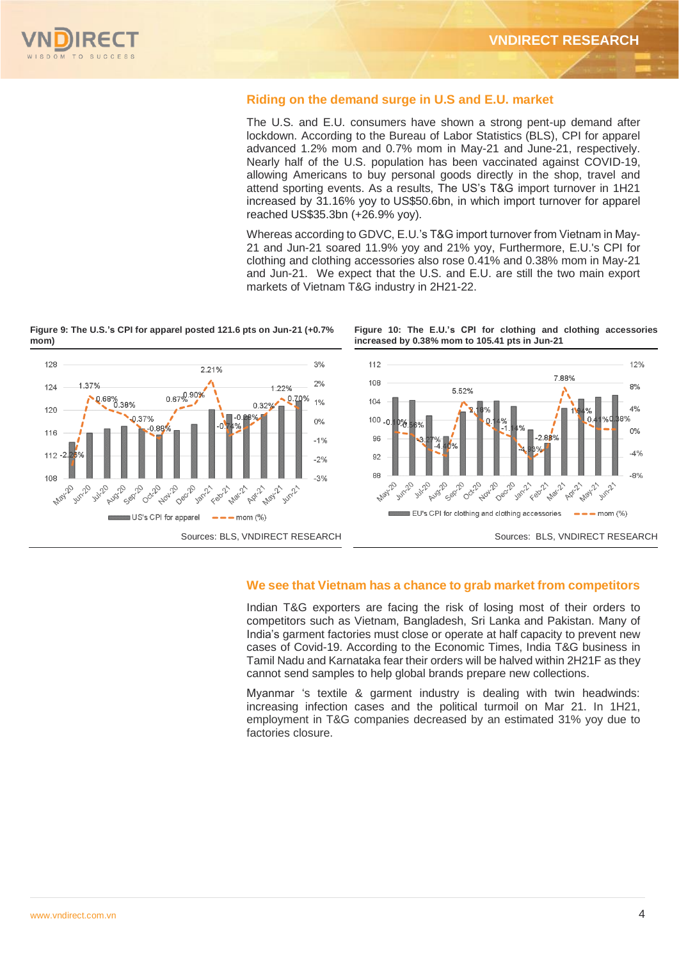

### **Riding on the demand surge in U.S and E.U. market**

The U.S. and E.U. consumers have shown a strong pent-up demand after lockdown. According to the Bureau of Labor Statistics (BLS), CPI for apparel advanced 1.2% mom and 0.7% mom in May-21 and June-21, respectively. Nearly half of the U.S. population has been vaccinated against COVID-19, allowing Americans to buy personal goods directly in the shop, travel and attend sporting events. As a results, The US's T&G import turnover in 1H21 increased by 31.16% yoy to US\$50.6bn, in which import turnover for apparel reached US\$35.3bn (+26.9% yoy).

Whereas according to GDVC, E.U.'s T&G import turnover from Vietnam in May-21 and Jun-21 soared 11.9% yoy and 21% yoy, Furthermore, E.U.'s CPI for clothing and clothing accessories also rose 0.41% and 0.38% mom in May-21 and Jun-21. We expect that the U.S. and E.U. are still the two main export markets of Vietnam T&G industry in 2H21-22.

**Figure 9: The U.S.'s CPI for apparel posted 121.6 pts on Jun-21 (+0.7% mom)**



**Figure 10: The E.U.'s CPI for clothing and clothing accessories increased by 0.38% mom to 105.41 pts in Jun-21**



### **We see that Vietnam has a chance to grab market from competitors**

Indian T&G exporters are facing the risk of losing most of their orders to competitors such as Vietnam, Bangladesh, Sri Lanka and Pakistan. Many of India's garment factories must close or operate at half capacity to prevent new cases of Covid-19. According to the Economic Times, India T&G business in Tamil Nadu and Karnataka fear their orders will be halved within 2H21F as they cannot send samples to help global brands prepare new collections.

Myanmar 's textile & garment industry is dealing with twin headwinds: increasing infection cases and the political turmoil on Mar 21. In 1H21, employment in T&G companies decreased by an estimated 31% yoy due to factories closure.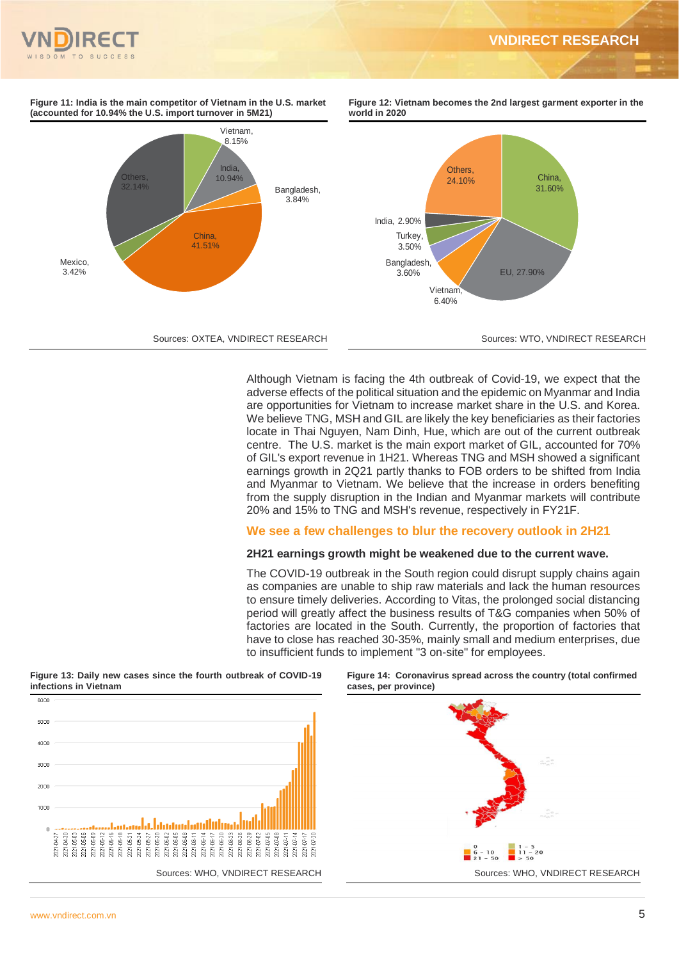



**Mexico** 3.42%

**Figure 11: India is the main competitor of Vietnam in the U.S. market (accounted for 10.94% the U.S. import turnover in 5M21)**

Others,





Although Vietnam is facing the 4th outbreak of Covid-19, we expect that the adverse effects of the political situation and the epidemic on Myanmar and India are opportunities for Vietnam to increase market share in the U.S. and Korea. We believe TNG, MSH and GIL are likely the key beneficiaries as their factories locate in Thai Nguyen, Nam Dinh, Hue, which are out of the current outbreak centre. The U.S. market is the main export market of GIL, accounted for 70% of GIL's export revenue in 1H21. Whereas TNG and MSH showed a significant earnings growth in 2Q21 partly thanks to FOB orders to be shifted from India and Myanmar to Vietnam. We believe that the increase in orders benefiting from the supply disruption in the Indian and Myanmar markets will contribute 20% and 15% to TNG and MSH's revenue, respectively in FY21F.

# **We see a few challenges to blur the recovery outlook in 2H21**

### **2H21 earnings growth might be weakened due to the current wave.**

The COVID-19 outbreak in the South region could disrupt supply chains again as companies are unable to ship raw materials and lack the human resources to ensure timely deliveries. According to Vitas, the prolonged social distancing period will greatly affect the business results of T&G companies when 50% of factories are located in the South. Currently, the proportion of factories that have to close has reached 30-35%, mainly small and medium enterprises, due to insufficient funds to implement "3 on-site" for employees.







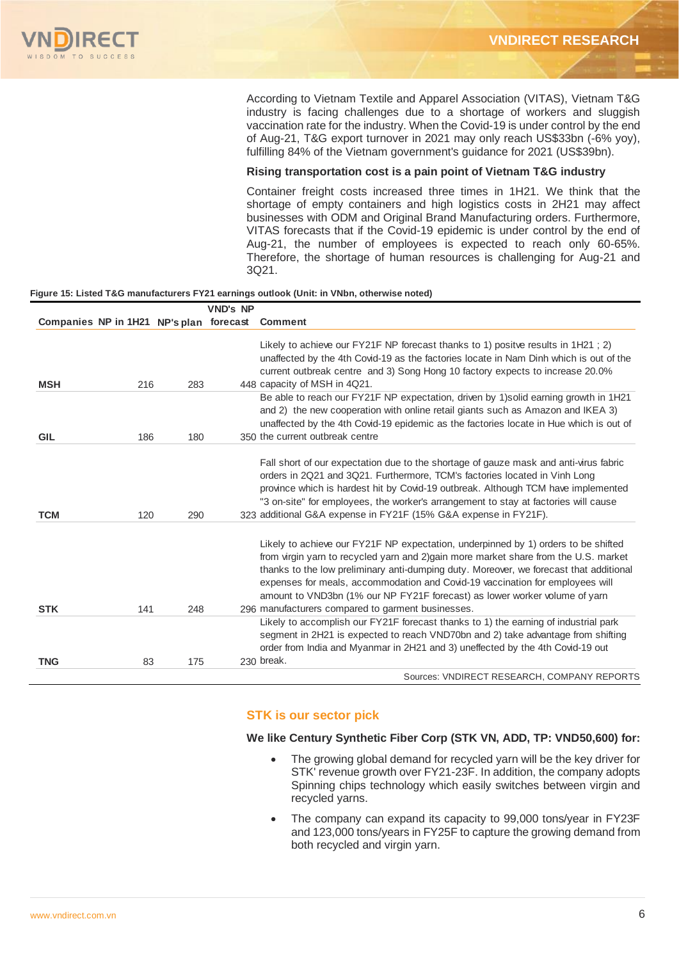According to Vietnam Textile and Apparel Association (VITAS), Vietnam T&G industry is facing challenges due to a shortage of workers and sluggish vaccination rate for the industry. When the Covid-19 is under control by the end of Aug-21, T&G export turnover in 2021 may only reach US\$33bn (-6% yoy), fulfilling 84% of the Vietnam government's guidance for 2021 (US\$39bn).

### **Rising transportation cost is a pain point of Vietnam T&G industry**

Container freight costs increased three times in 1H21. We think that the shortage of empty containers and high logistics costs in 2H21 may affect businesses with ODM and Original Brand Manufacturing orders. Furthermore, VITAS forecasts that if the Covid-19 epidemic is under control by the end of Aug-21, the number of employees is expected to reach only 60-65%. Therefore, the shortage of human resources is challenging for Aug-21 and 3Q21.

### **Figure 15: Listed T&G manufacturers FY21 earnings outlook (Unit: in VNbn, otherwise noted)**

|                                |     |     | <b>VND's NP</b> |                                                                                                                                                                                                                                                                                                                                                                                                                                                                                         |
|--------------------------------|-----|-----|-----------------|-----------------------------------------------------------------------------------------------------------------------------------------------------------------------------------------------------------------------------------------------------------------------------------------------------------------------------------------------------------------------------------------------------------------------------------------------------------------------------------------|
| Companies NP in 1H21 NP's plan |     |     | forecast        | <b>Comment</b>                                                                                                                                                                                                                                                                                                                                                                                                                                                                          |
| <b>MSH</b>                     | 216 | 283 |                 | Likely to achieve our FY21F NP forecast thanks to 1) positve results in 1H21; 2)<br>unaffected by the 4th Covid-19 as the factories locate in Nam Dinh which is out of the<br>current outbreak centre and 3) Song Hong 10 factory expects to increase 20.0%<br>448 capacity of MSH in 4Q21.                                                                                                                                                                                             |
|                                |     |     |                 | Be able to reach our FY21F NP expectation, driven by 1) solid earning growth in 1H21<br>and 2) the new cooperation with online retail giants such as Amazon and IKEA 3)<br>unaffected by the 4th Covid-19 epidemic as the factories locate in Hue which is out of                                                                                                                                                                                                                       |
| <b>GIL</b>                     | 186 | 180 |                 | 350 the current outbreak centre                                                                                                                                                                                                                                                                                                                                                                                                                                                         |
| <b>TCM</b>                     | 120 | 290 |                 | Fall short of our expectation due to the shortage of gauze mask and anti-virus fabric<br>orders in 2Q21 and 3Q21. Furthermore, TCM's factories located in Vinh Long<br>province which is hardest hit by Covid-19 outbreak. Although TCM have implemented<br>"3 on-site" for employees, the worker's arrangement to stay at factories will cause<br>323 additional G&A expense in FY21F (15% G&A expense in FY21F).                                                                      |
| <b>STK</b>                     | 141 | 248 |                 | Likely to achieve our FY21F NP expectation, underpinned by 1) orders to be shifted<br>from virgin yarn to recycled yarn and 2)gain more market share from the U.S. market<br>thanks to the low preliminary anti-dumping duty. Moreover, we forecast that additional<br>expenses for meals, accommodation and Covid-19 vaccination for employees will<br>amount to VND3bn (1% our NP FY21F forecast) as lower worker volume of yarn<br>296 manufacturers compared to garment businesses. |
|                                |     |     |                 | Likely to accomplish our FY21F forecast thanks to 1) the earning of industrial park<br>segment in 2H21 is expected to reach VND70bn and 2) take advantage from shifting<br>order from India and Myanmar in 2H21 and 3) uneffected by the 4th Covid-19 out                                                                                                                                                                                                                               |
| <b>TNG</b>                     | 83  | 175 |                 | 230 break.<br>Sources: VNDIRECT RESEARCH, COMPANY REPORTS                                                                                                                                                                                                                                                                                                                                                                                                                               |

# **STK is our sector pick**

### **We like Century Synthetic Fiber Corp (STK VN, ADD, TP: VND50,600) for:**

- The growing global demand for recycled varn will be the key driver for STK' revenue growth over FY21-23F. In addition, the company adopts Spinning chips technology which easily switches between virgin and recycled yarns.
- The company can expand its capacity to 99,000 tons/year in FY23F and 123,000 tons/years in FY25F to capture the growing demand from both recycled and virgin yarn.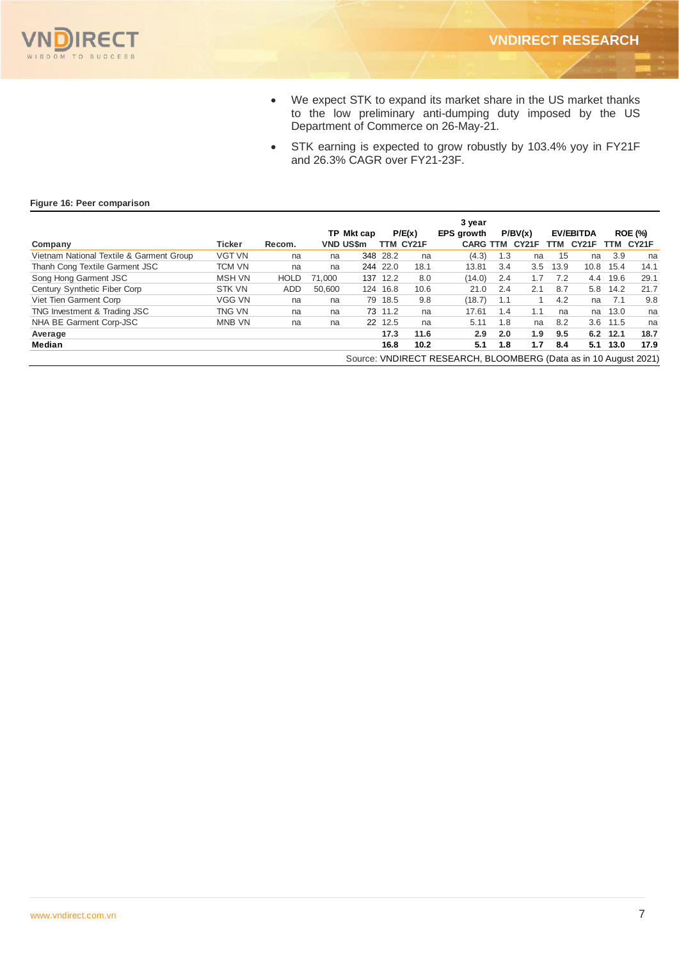

- We expect STK to expand its market share in the US market thanks to the low preliminary anti-dumping duty imposed by the US Department of Commerce on 26-May-21.
- STK earning is expected to grow robustly by 103.4% yoy in FY21F and 26.3% CAGR over FY21-23F.

### **Figure 16: Peer comparison**

|                                          |               |             |                  |            |          |           | 3 year                                                           |     |         |      |                  |          |                    |
|------------------------------------------|---------------|-------------|------------------|------------|----------|-----------|------------------------------------------------------------------|-----|---------|------|------------------|----------|--------------------|
|                                          |               |             |                  | TP Mkt cap |          | P/E(x)    | <b>EPS</b> growth                                                |     | P/BV(x) |      | <b>EV/EBITDA</b> |          | <b>ROE (%)</b>     |
| Company                                  | Ticker        | Recom.      | <b>VND US\$m</b> |            |          | TTM CY21F | <b>CARG TTM</b>                                                  |     | CY21F   | TTM  | CY21F            | TTM      | CY <sub>21</sub> F |
| Vietnam National Textile & Garment Group | <b>VGT VN</b> | na          | na               |            | 348 28.2 | na        | (4.3)                                                            | 1.3 | na      | 15   | na               | 3.9      | na                 |
| Thanh Cong Textile Garment JSC           | TCM VN        | na          | na               |            | 244 22.0 | 18.1      | 13.81                                                            | 3.4 | 3.5     | 13.9 | 10.8             | 15.4     | 14.1               |
| Song Hong Garment JSC                    | <b>MSH VN</b> | <b>HOLD</b> | 71.000           |            | 137 12.2 | 8.0       | (14.0)                                                           | 2.4 | 1.7     | 7.2  | 4.4              | 19.6     | 29.1               |
| Century Synthetic Fiber Corp             | <b>STK VN</b> | ADD.        | 50.600           |            | 124 16.8 | 10.6      | 21.0                                                             | 2.4 | 2.1     | 8.7  | 5.8              | 14.2     | 21.7               |
| Viet Tien Garment Corp                   | VGG VN        | na          | na               |            | 79 18.5  | 9.8       | (18.7)                                                           | 1.1 |         | 4.2  | na               | - 7.1    | 9.8                |
| TNG Investment & Trading JSC             | TNG VN        | na          | na               |            | 73 11.2  | na        | 17.61                                                            | 1.4 | 1.1     | na   | na               | 13.0     | na                 |
| NHA BE Garment Corp-JSC                  | <b>MNB VN</b> | na          | na               |            | 22 12.5  | na        | 5.11                                                             | 1.8 | na      | 8.2  |                  | 3.6 11.5 | na                 |
| Average                                  |               |             |                  |            | 17.3     | 11.6      | 2.9                                                              | 2.0 | 1.9     | 9.5  | 6.2              | 12.1     | 18.7               |
| Median                                   |               |             |                  |            | 16.8     | 10.2      | 5.1                                                              | 1.8 | 1.7     | 8.4  | 5.1              | 13.0     | 17.9               |
|                                          |               |             |                  |            |          |           | Source: VNDIRECT RESEARCH, BLOOMBERG (Data as in 10 August 2021) |     |         |      |                  |          |                    |